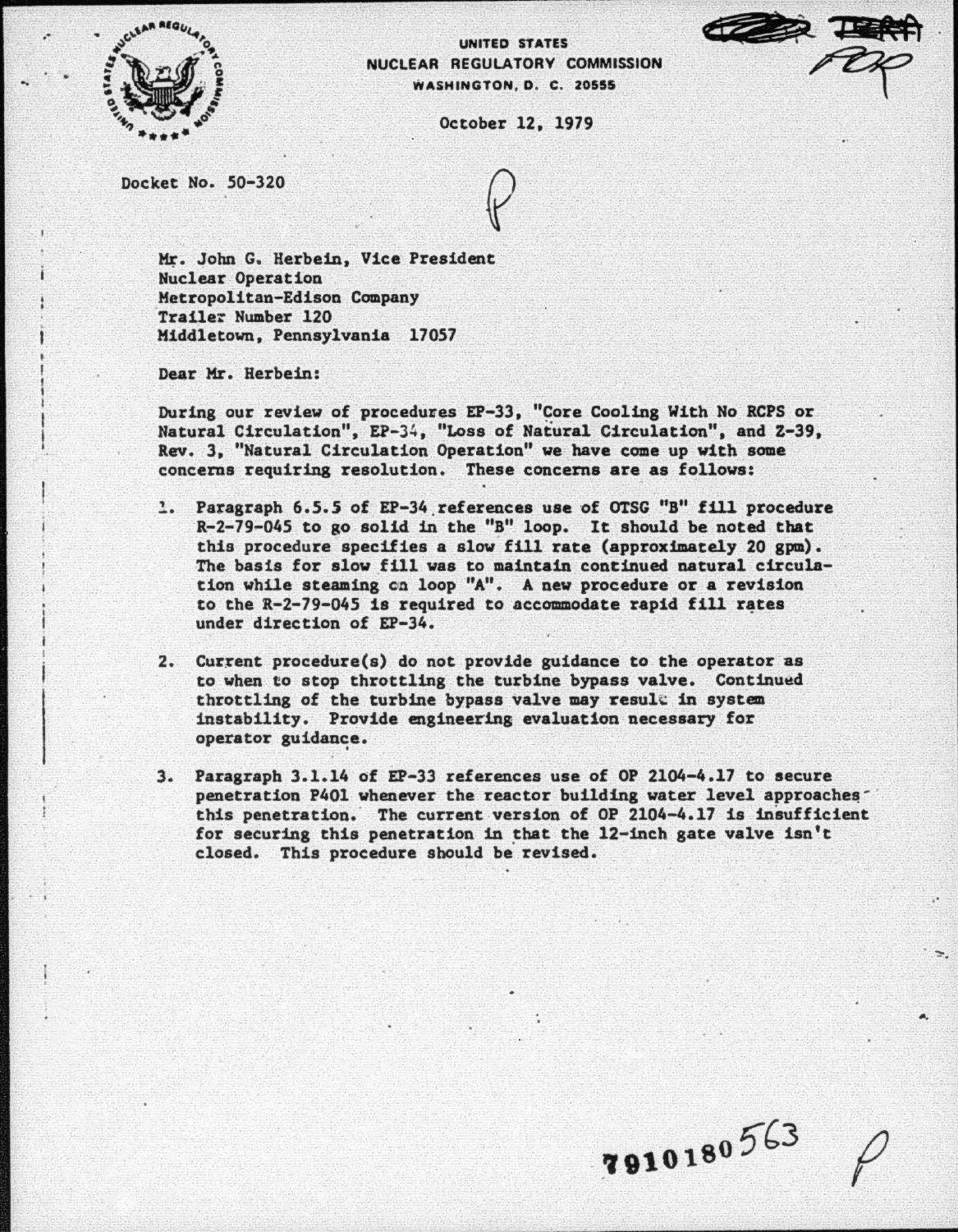

..

..

UNITED STATES NUCLEAR REGULATORY COMMISSION WASHINGTON, D. C. 20555

October 12, 1979

Docket No. *50-320* 

Mr. John G. Herbein, Vice President Nuclear Operation Metropolitan-Edison Company<br>Traile: Number 120 Middletown, Pennsylvania 17057

Dear Mr. Herbein:

During our review of procedures EP-33, "Core Cooling With No RCPS or Natural Circulation", EP-34, "Loss of Natural Circulation", and Z-39, Rev. 3, "Natural Circulation Operation" we have come up vith some concerns requiring resolution. These concerns are as follows:

- , -· Paragraph 6.5.5 of EP-34 references use of OTSG "B" fill procedure R-2-79-045 to go solid in the "B" loop. It should be noted that this procedure specifies a slow fill rate (approximately 20 gpm). The basis for slow fill was to maintain continued natural circulation while steaming en loop "A". A new procedure or a revision to the  $R-2-79-045$  is required to accommodate rapid fill rates under direction of EP-34.
- 2. Current procedure(s) do not provide guidance to the operator as to when to stop throttling the turbine bypass valve. Continued throttling of the turbine bypass valve may result in system instability. Provide engineering evaluation necessary for operator guidance.
- 3. Paragraph 3. 1.14 of EP-33 references use of OP 2104-4.17 to secure penetration P401 whenever the reactor building water level approaches this penetration; The current version of OP 2104-4.17 is insufficient for securing this penetration in that the 12-inch gate valve isn't closed. This procedure should be revised.

7910180563

.·

"·